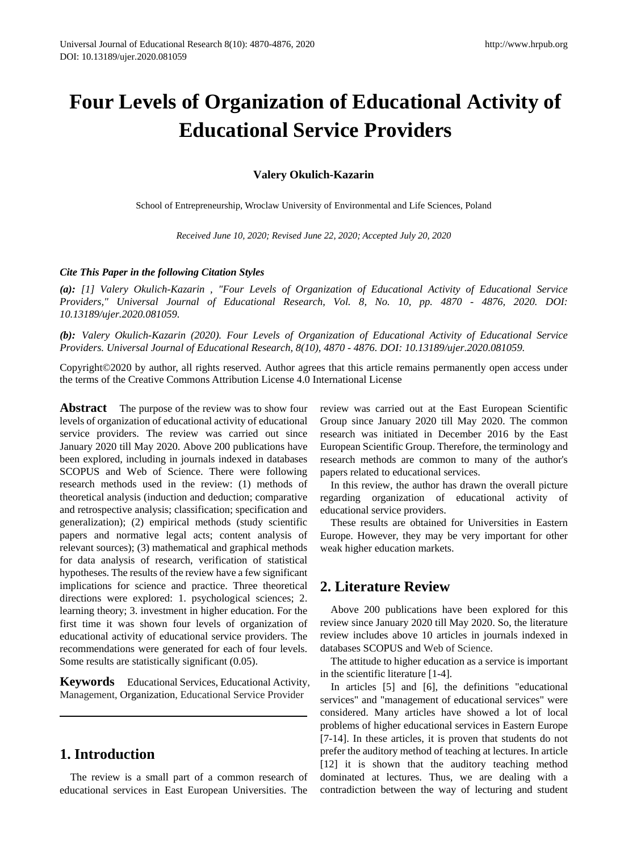# **Four Levels of Organization of Educational Activity of Educational Service Providers**

**Valery Okulich-Kazarin**

School of Entrepreneurship, Wroclaw University of Environmental and Life Sciences, Poland

*Received June 10, 2020; Revised June 22, 2020; Accepted July 20, 2020* 

#### *Cite This Paper in the following Citation Styles*

*(a): [1] Valery Okulich-Kazarin , "Four Levels of Organization of Educational Activity of Educational Service Providers," Universal Journal of Educational Research, Vol. 8, No. 10, pp. 4870 - 4876, 2020. DOI: 10.13189/ujer.2020.081059.* 

*(b): Valery Okulich-Kazarin (2020). Four Levels of Organization of Educational Activity of Educational Service Providers. Universal Journal of Educational Research, 8(10), 4870 - 4876. DOI: 10.13189/ujer.2020.081059.* 

Copyright©2020 by author, all rights reserved. Author agrees that this article remains permanently open access under the terms of the Creative Commons Attribution License 4.0 International License

**Abstract** The purpose of the review was to show four levels of organization of educational activity of educational service providers. The review was carried out since January 2020 till May 2020. Above 200 publications have been explored, including in journals indexed in databases SCOPUS and Web of Science. There were following research methods used in the review: (1) methods of theoretical analysis (induction and deduction; comparative and retrospective analysis; classification; specification and generalization); (2) empirical methods (study scientific papers and normative legal acts; content analysis of relevant sources); (3) mathematical and graphical methods for data analysis of research, verification of statistical hypotheses. The results of the review have a few significant implications for science and practice. Three theoretical directions were explored: 1. psychological sciences; 2. learning theory; 3. investment in higher education. For the first time it was shown four levels of organization of educational activity of educational service providers. The recommendations were generated for each of four levels. Some results are statistically significant (0.05).

**Keywords** Educational Services, Educational Activity, Management, Organization, Educational Service Provider

# **1. Introduction**

The review is a small part of a common research of educational services in East European Universities. The review was carried out at the East European Scientific Group since January 2020 till May 2020. The common research was initiated in December 2016 by the East European Scientific Group. Therefore, the terminology and research methods are common to many of the author's papers related to educational services.

In this review, the author has drawn the overall picture regarding organization of educational activity of educational service providers.

These results are obtained for Universities in Eastern Europe. However, they may be very important for other weak higher education markets.

# **2. Literature Review**

Above 200 publications have been explored for this review since January 2020 till May 2020. So, the literature review includes above 10 articles in journals indexed in databases SCOPUS and Web of Science.

The attitude to higher education as a service is important in the scientific literature [1-4].

In articles [5] and [6], the definitions "educational services" and "management of educational services" were considered. Many articles have showed a lot of local problems of higher educational services in Eastern Europe [7-14]. In these articles, it is proven that students do not prefer the auditory method of teaching at lectures. In article [12] it is shown that the auditory teaching method dominated at lectures. Thus, we are dealing with a contradiction between the way of lecturing and student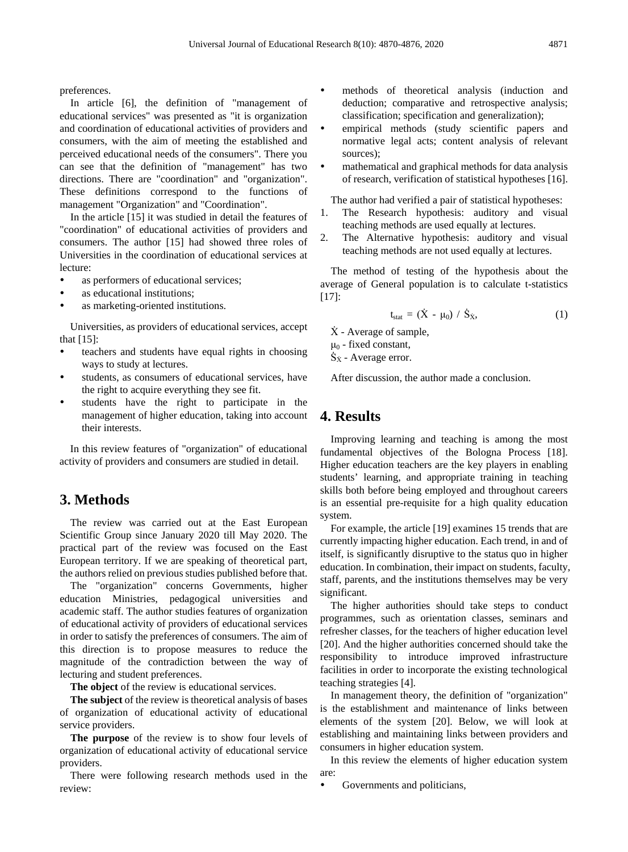preferences.

In article [6], the definition of "management of educational services" was presented as "it is organization and coordination of educational activities of providers and consumers, with the aim of meeting the established and perceived educational needs of the consumers". There you can see that the definition of "management" has two directions. There are "coordination" and "organization". These definitions correspond to the functions of management "Organization" and "Coordination".

In the article [15] it was studied in detail the features of "coordination" of educational activities of providers and consumers. The author [15] had showed three roles of Universities in the coordination of educational services at lecture:

- as performers of educational services;
- as educational institutions;
- as marketing-oriented institutions.

Universities, as providers of educational services, accept that [15]:

- teachers and students have equal rights in choosing ways to study at lectures.
- students, as consumers of educational services, have the right to acquire everything they see fit.
- students have the right to participate in the management of higher education, taking into account their interests.

In this review features of "organization" of educational activity of providers and consumers are studied in detail.

### **3. Methods**

The review was carried out at the East European Scientific Group since January 2020 till May 2020. The practical part of the review was focused on the East European territory. If we are speaking of theoretical part, the authors relied on previous studies published before that.

The "organization" concerns Governments, higher education Ministries, pedagogical universities and academic staff. The author studies features of organization of educational activity of providers of educational services in order to satisfy the preferences of consumers. The aim of this direction is to propose measures to reduce the magnitude of the contradiction between the way of lecturing and student preferences.

**The object** of the review is educational services.

**The subject** of the review is theoretical analysis of bases of organization of educational activity of educational service providers.

**The purpose** of the review is to show four levels of organization of educational activity of educational service providers.

There were following research methods used in the review:

- methods of theoretical analysis (induction and deduction; comparative and retrospective analysis; classification; specification and generalization);
- empirical methods (study scientific papers and normative legal acts; content analysis of relevant sources);
- mathematical and graphical methods for data analysis of research, verification of statistical hypotheses [16].

The author had verified a pair of statistical hypotheses:

- 1. The Research hypothesis: auditory and visual teaching methods are used equally at lectures.
- 2. The Alternative hypothesis: auditory and visual teaching methods are not used equally at lectures.

The method of testing of the hypothesis about the average of General population is to calculate t-statistics [17]:

$$
t_{stat} = (\dot{X} - \mu_0) / \dot{S}_{\dot{X}}, \qquad (1)
$$

- $\dot{X}$  Average of sample,
- $\mu_0$  fixed constant,

 $\dot{S}_{\dot{x}}$  - Average error.

After discussion, the author made a conclusion.

## **4. Results**

Improving learning and teaching is among the most fundamental objectives of the Bologna Process [18]. Higher education teachers are the key players in enabling students' learning, and appropriate training in teaching skills both before being employed and throughout careers is an essential pre-requisite for a high quality education system.

For example, the article [19] examines 15 trends that are currently impacting higher education. Each trend, in and of itself, is significantly disruptive to the status quo in higher education. In combination, their impact on students, faculty, staff, parents, and the institutions themselves may be very significant.

The higher authorities should take steps to conduct programmes, such as orientation classes, seminars and refresher classes, for the teachers of higher education level [20]. And the higher authorities concerned should take the responsibility to introduce improved infrastructure facilities in order to incorporate the existing technological teaching strategies [4].

In management theory, the definition of "organization" is the establishment and maintenance of links between elements of the system [20]. Below, we will look at establishing and maintaining links between providers and consumers in higher education system.

In this review the elements of higher education system are:

Governments and politicians,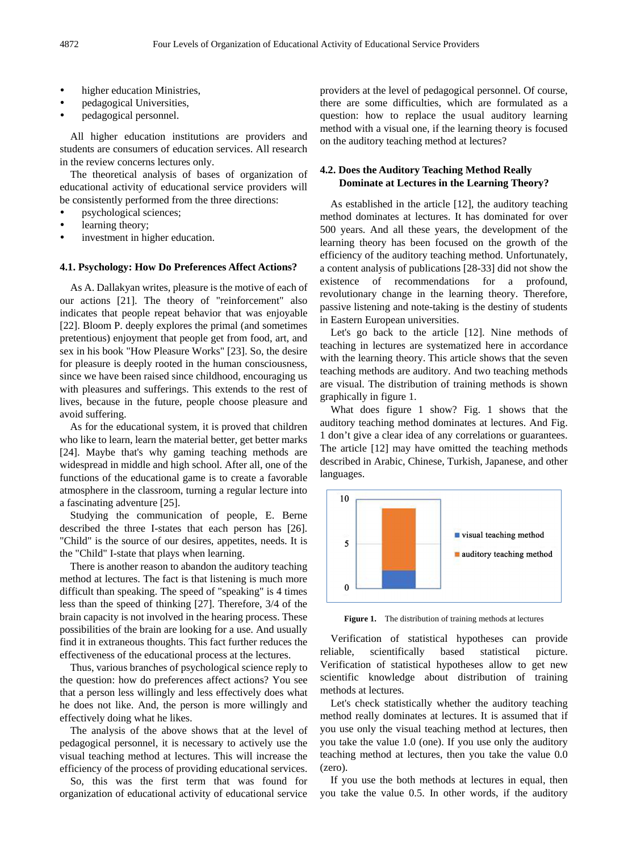- higher education Ministries,
- pedagogical Universities,
- pedagogical personnel.

All higher education institutions are providers and students are consumers of education services. All research in the review concerns lectures only.

The theoretical analysis of bases of organization of educational activity of educational service providers will be consistently performed from the three directions:

- psychological sciences;
- learning theory;
- investment in higher education.

#### **4.1. Psychology: How Do Preferences Affect Actions?**

As A. Dallakyan writes, pleasure is the motive of each of our actions [21]. The theory of "reinforcement" also indicates that people repeat behavior that was enjoyable [22]. Bloom P. deeply explores the primal (and sometimes pretentious) enjoyment that people get from food, art, and sex in his book "How Pleasure Works" [23]. So, the desire for pleasure is deeply rooted in the human consciousness, since we have been raised since childhood, encouraging us with pleasures and sufferings. This extends to the rest of lives, because in the future, people choose pleasure and avoid suffering.

As for the educational system, it is proved that children who like to learn, learn the material better, get better marks [24]. Maybe that's why gaming teaching methods are widespread in middle and high school. After all, one of the functions of the educational game is to create a favorable atmosphere in the classroom, turning a regular lecture into a fascinating adventure [25].

Studying the communication of people, E. Berne described the three I-states that each person has [26]. "Child" is the source of our desires, appetites, needs. It is the "Child" I-state that plays when learning.

There is another reason to abandon the auditory teaching method at lectures. The fact is that listening is much more difficult than speaking. The speed of "speaking" is 4 times less than the speed of thinking [27]. Therefore, 3/4 of the brain capacity is not involved in the hearing process. These possibilities of the brain are looking for a use. And usually find it in extraneous thoughts. This fact further reduces the effectiveness of the educational process at the lectures.

Thus, various branches of psychological science reply to the question: how do preferences affect actions? You see that a person less willingly and less effectively does what he does not like. And, the person is more willingly and effectively doing what he likes.

The analysis of the above shows that at the level of pedagogical personnel, it is necessary to actively use the visual teaching method at lectures. This will increase the efficiency of the process of providing educational services.

So, this was the first term that was found for organization of educational activity of educational service providers at the level of pedagogical personnel. Of course, there are some difficulties, which are formulated as a question: how to replace the usual auditory learning method with a visual one, if the learning theory is focused on the auditory teaching method at lectures?

#### **4.2. Does the Auditory Teaching Method Really Dominate at Lectures in the Learning Theory?**

As established in the article [12], the auditory teaching method dominates at lectures. It has dominated for over 500 years. And all these years, the development of the learning theory has been focused on the growth of the efficiency of the auditory teaching method. Unfortunately, a content analysis of publications [28-33] did not show the existence of recommendations for a profound, revolutionary change in the learning theory. Therefore, passive listening and note-taking is the destiny of students in Eastern European universities.

Let's go back to the article [12]. Nine methods of teaching in lectures are systematized here in accordance with the learning theory. This article shows that the seven teaching methods are auditory. And two teaching methods are visual. The distribution of training methods is shown graphically in figure 1.

What does figure 1 show? Fig. 1 shows that the auditory teaching method dominates at lectures. And Fig. 1 don't give a clear idea of any correlations or guarantees. The article [12] may have omitted the teaching methods described in Arabic, Chinese, Turkish, Japanese, and other languages.



Figure 1. The distribution of training methods at lectures

Verification of statistical hypotheses can provide reliable, scientifically based statistical picture. Verification of statistical hypotheses allow to get new scientific knowledge about distribution of training methods at lectures.

Let's check statistically whether the auditory teaching method really dominates at lectures. It is assumed that if you use only the visual teaching method at lectures, then you take the value 1.0 (one). If you use only the auditory teaching method at lectures, then you take the value 0.0 (zero).

If you use the both methods at lectures in equal, then you take the value 0.5. In other words, if the auditory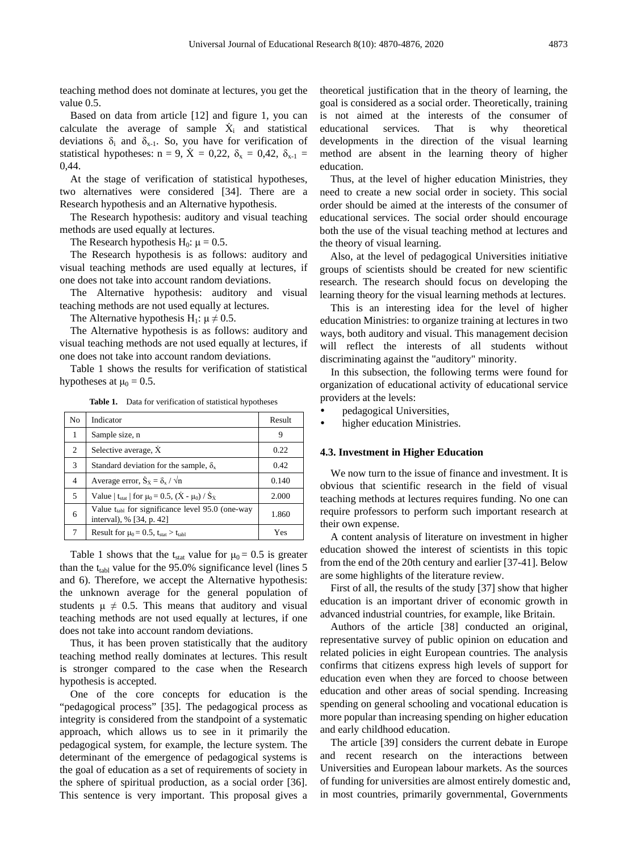teaching method does not dominate at lectures, you get the value 0.5.

Based on data from article [12] and figure 1, you can calculate the average of sample  $\dot{X}_i$  and statistical deviations  $\delta_i$  and  $\delta_{x-1}$ . So, you have for verification of statistical hypotheses:  $n = 9$ ,  $\dot{X} = 0.22$ ,  $\delta_x = 0.42$ ,  $\delta_{x-1} =$ 0,44.

At the stage of verification of statistical hypotheses, two alternatives were considered [34]. There are a Research hypothesis and an Alternative hypothesis.

The Research hypothesis: auditory and visual teaching methods are used equally at lectures.

The Research hypothesis  $H_0$ :  $\mu = 0.5$ .

The Research hypothesis is as follows: auditory and visual teaching methods are used equally at lectures, if one does not take into account random deviations.

The Alternative hypothesis: auditory and visual teaching methods are not used equally at lectures.

The Alternative hypothesis H<sub>1</sub>:  $\mu \neq 0.5$ .

The Alternative hypothesis is as follows: auditory and visual teaching methods are not used equally at lectures, if one does not take into account random deviations.

Table 1 shows the results for verification of statistical hypotheses at  $\mu_0 = 0.5$ .

| Table 1. |  | Data for verification of statistical hypotheses |  |  |  |
|----------|--|-------------------------------------------------|--|--|--|
|----------|--|-------------------------------------------------|--|--|--|

| No | Indicator                                                                         | Result |
|----|-----------------------------------------------------------------------------------|--------|
| 1  | Sample size, n                                                                    | 9      |
| 2  | Selective average, X                                                              | 0.22   |
| 3  | Standard deviation for the sample, $\delta_{x}$                                   | 0.42   |
| 4  | Average error, $\dot{S}_x = \delta_x / \sqrt{n}$                                  | 0.140  |
| 5  | Value   t <sub>stat</sub>   for $\mu_0 = 0.5$ , $(X - \mu_0) / S_X$               | 2.000  |
| 6  | Value $t_{tabl}$ for significance level 95.0 (one-way<br>interval), % [34, p. 42] | 1.860  |
| 7  | Result for $\mu_0 = 0.5$ , $t_{stat} > t_{tabl}$                                  | Yes    |

Table 1 shows that the t<sub>stat</sub> value for  $\mu_0 = 0.5$  is greater than the  $t<sub>table</sub>$  value for the 95.0% significance level (lines 5 and 6). Therefore, we accept the Alternative hypothesis: the unknown average for the general population of students  $\mu \neq 0.5$ . This means that auditory and visual teaching methods are not used equally at lectures, if one does not take into account random deviations.

Thus, it has been proven statistically that the auditory teaching method really dominates at lectures. This result is stronger compared to the case when the Research hypothesis is accepted.

One of the core concepts for education is the "pedagogical process" [35]. The pedagogical process as integrity is considered from the standpoint of a systematic approach, which allows us to see in it primarily the pedagogical system, for example, the lecture system. The determinant of the emergence of pedagogical systems is the goal of education as a set of requirements of society in the sphere of spiritual production, as a social order [36]. This sentence is very important. This proposal gives a

theoretical justification that in the theory of learning, the goal is considered as a social order. Theoretically, training is not aimed at the interests of the consumer of educational services. That is why theoretical developments in the direction of the visual learning method are absent in the learning theory of higher education.

Thus, at the level of higher education Ministries, they need to create a new social order in society. This social order should be aimed at the interests of the consumer of educational services. The social order should encourage both the use of the visual teaching method at lectures and the theory of visual learning.

Also, at the level of pedagogical Universities initiative groups of scientists should be created for new scientific research. The research should focus on developing the learning theory for the visual learning methods at lectures.

This is an interesting idea for the level of higher education Ministries: to organize training at lectures in two ways, both auditory and visual. This management decision will reflect the interests of all students without discriminating against the "auditory" minority.

In this subsection, the following terms were found for organization of educational activity of educational service providers at the levels:

- pedagogical Universities,
- higher education Ministries.

#### **4.3. Investment in Higher Education**

We now turn to the issue of finance and investment. It is obvious that scientific research in the field of visual teaching methods at lectures requires funding. No one can require professors to perform such important research at their own expense.

A content analysis of literature on investment in higher education showed the interest of scientists in this topic from the end of the 20th century and earlier [37-41]. Below are some highlights of the literature review.

First of all, the results of the study [37] show that higher education is an important driver of economic growth in advanced industrial countries, for example, like Britain.

Authors of the article [38] conducted an original, representative survey of public opinion on education and related policies in eight European countries. The analysis confirms that citizens express high levels of support for education even when they are forced to choose between education and other areas of social spending. Increasing spending on general schooling and vocational education is more popular than increasing spending on higher education and early childhood education.

The article [39] considers the current debate in Europe and recent research on the interactions between Universities and European labour markets. As the sources of funding for universities are almost entirely domestic and, in most countries, primarily governmental, Governments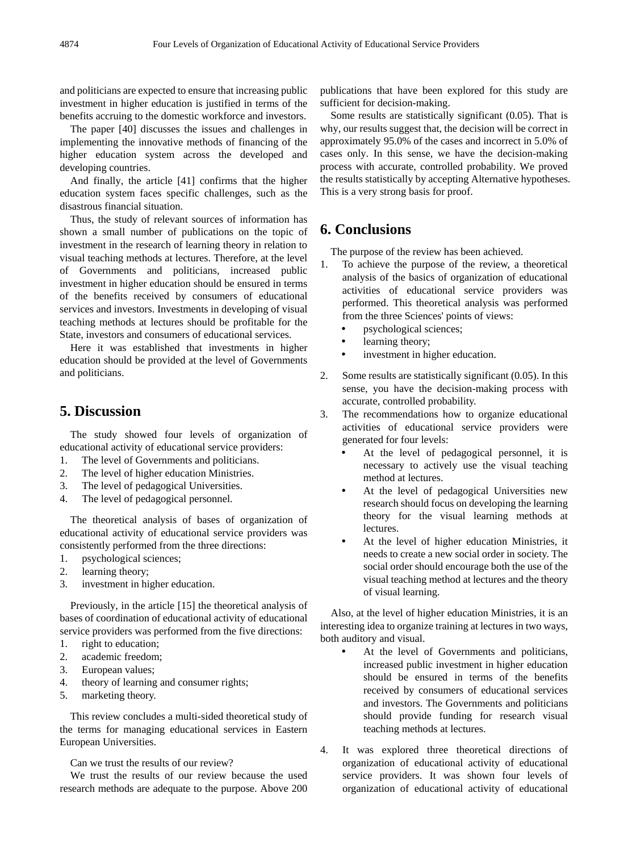and politicians are expected to ensure that increasing public investment in higher education is justified in terms of the benefits accruing to the domestic workforce and investors.

The paper [40] discusses the issues and challenges in implementing the innovative methods of financing of the higher education system across the developed and developing countries.

And finally, the article [41] confirms that the higher education system faces specific challenges, such as the disastrous financial situation.

Thus, the study of relevant sources of information has shown a small number of publications on the topic of investment in the research of learning theory in relation to visual teaching methods at lectures. Therefore, at the level of Governments and politicians, increased public investment in higher education should be ensured in terms of the benefits received by consumers of educational services and investors. Investments in developing of visual teaching methods at lectures should be profitable for the State, investors and consumers of educational services.

Here it was established that investments in higher education should be provided at the level of Governments and politicians.

# **5. Discussion**

The study showed four levels of organization of educational activity of educational service providers:

- 1. The level of Governments and politicians.
- 2. The level of higher education Ministries.
- 3. The level of pedagogical Universities.
- 4. The level of pedagogical personnel.

The theoretical analysis of bases of organization of educational activity of educational service providers was consistently performed from the three directions:

- 1. psychological sciences;
- 2. learning theory;
- 3. investment in higher education.

Previously, in the article [15] the theoretical analysis of bases of coordination of educational activity of educational service providers was performed from the five directions:

- 1. right to education;
- 2. academic freedom;
- 3. European values;
- 4. theory of learning and consumer rights;
- 5. marketing theory.

This review concludes a multi-sided theoretical study of the terms for managing educational services in Eastern European Universities.

Can we trust the results of our review?

We trust the results of our review because the used research methods are adequate to the purpose. Above 200 publications that have been explored for this study are sufficient for decision-making.

Some results are statistically significant (0.05). That is why, our results suggest that, the decision will be correct in approximately 95.0% of the cases and incorrect in 5.0% of cases only. In this sense, we have the decision-making process with accurate, controlled probability. We proved the results statistically by accepting Alternative hypotheses. This is a very strong basis for proof.

# **6. Conclusions**

The purpose of the review has been achieved.

- 1. To achieve the purpose of the review, a theoretical analysis of the basics of organization of educational activities of educational service providers was performed. This theoretical analysis was performed from the three Sciences' points of views:
	- psychological sciences;
	- learning theory;
	- investment in higher education.
- 2. Some results are statistically significant (0.05). In this sense, you have the decision-making process with accurate, controlled probability.
- 3. The recommendations how to organize educational activities of educational service providers were generated for four levels:
	- At the level of pedagogical personnel, it is necessary to actively use the visual teaching method at lectures.
	- At the level of pedagogical Universities new research should focus on developing the learning theory for the visual learning methods at lectures.
	- At the level of higher education Ministries, it needs to create a new social order in society. The social order should encourage both the use of the visual teaching method at lectures and the theory of visual learning.

Also, at the level of higher education Ministries, it is an interesting idea to organize training at lectures in two ways, both auditory and visual.

- At the level of Governments and politicians, increased public investment in higher education should be ensured in terms of the benefits received by consumers of educational services and investors. The Governments and politicians should provide funding for research visual teaching methods at lectures.
- 4. It was explored three theoretical directions of organization of educational activity of educational service providers. It was shown four levels of organization of educational activity of educational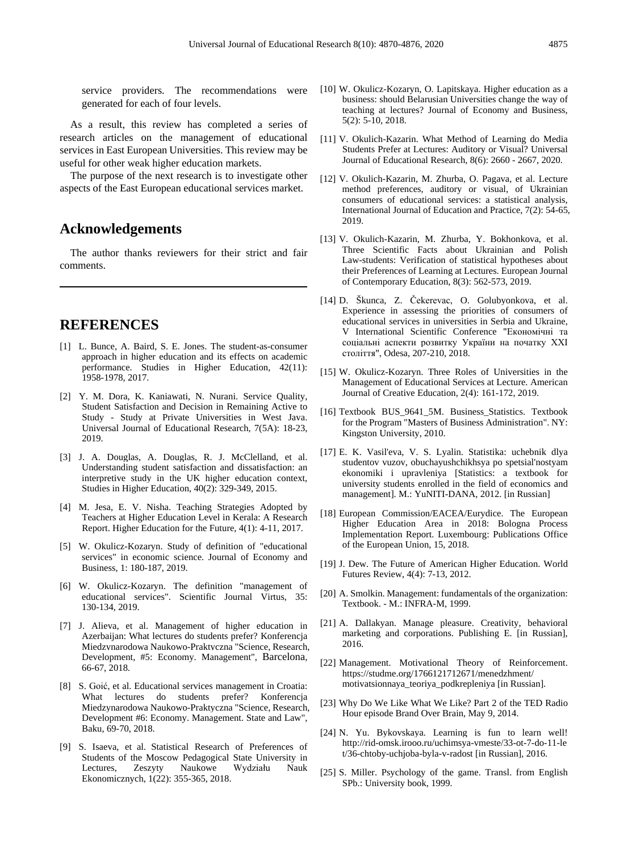service providers. The recommendations were generated for each of four levels.

As a result, this review has completed a series of research articles on the management of educational services in East European Universities. This review may be useful for other weak higher education markets.

The purpose of the next research is to investigate other aspects of the East European educational services market.

# **Acknowledgements**

The author thanks reviewers for their strict and fair comments.

# **REFERENCES**

- [1] L. Bunce, A. Baird, S. E. Jones. The student-as-consumer approach in higher education and its effects on academic performance. Studies in Higher Education, 42(11): 1958-1978, 2017.
- [2] Y. M. Dora, K. Kaniawati, N. Nurani. Service Quality, Student Satisfaction and Decision in Remaining Active to Study - Study at Private Universities in West Java. Universal Journal of Educational Research, 7(5A): 18-23, 2019.
- [3] J. A. Douglas, A. Douglas, R. J. McClelland, et al. Understanding student satisfaction and dissatisfaction: an interpretive study in the UK higher education context, Studies in Higher Education, 40(2): 329-349, 2015.
- [4] M. Jesa, E. V. Nisha. Teaching Strategies Adopted by Teachers at Higher Education Level in Kerala: A Research Report. Higher Education for the Future, 4(1): 4-11, 2017.
- [5] W. Okulicz-Kozaryn. Study of definition of "educational services" in economic science. Journal of Economy and Business, 1: 180-187, 2019.
- [6] W. Okulicz-Kozaryn. The definition "management of educational services". Scientific Journal Virtus, 35: 130-134, 2019.
- [7] J. Alieva, et al. Management of higher education in Azerbaijan: What lectures do students prefer? Konferencja Miedzynarodowa Naukowo-Praktyczna "Science, Research, Development, #5: Economy. Management", Barcelona, 66-67, 2018.
- [8] S. Goić, et al. Educational services management in Croatia: What lectures do students prefer? Konferencja Miedzynarodowa Naukowo-Praktyczna "Science, Research, Development #6: Economy. Management. State and Law", Baku, 69-70, 2018.
- [9] S. Isaeva, et al. Statistical Research of Preferences of Students of the Moscow Pedagogical State University in Lectures, Zeszyty Naukowe Wydziału Nauk Ekonomicznych, 1(22): 355-365, 2018.
- [10] W. Okulicz-Kozaryn, O. Lapitskaya. Higher education as a business: should Belarusian Universities change the way of teaching at lectures? Journal of Economy and Business, 5(2): 5-10, 2018.
- [11] V. Okulich-Kazarin. What Method of Learning do Media Students Prefer at Lectures: Auditory or Visual? Universal Journal of Educational Research, 8(6): 2660 - 2667, 2020.
- [12] V. Okulich-Kazarin, M. Zhurba, O. Pagava, et al. Lecture method preferences, auditory or visual, of Ukrainian consumers of educational services: a statistical analysis, International Journal of Education and Practice, 7(2): 54-65, 2019.
- [13] V. Okulich-Kazarin, M. Zhurba, Y. Bokhonkova, et al. Three Scientific Facts about Ukrainian and Polish Law-students: Verification of statistical hypotheses about their Preferences of Learning at Lectures. European Journal of Contemporary Education, 8(3): 562-573, 2019.
- [14] D. Škunca, Z. Čekerevac, O. Golubyonkova, et al. Experience in assessing the priorities of consumers of educational services in universities in Serbia and Ukraine, V International Scientific Conference "Економічні та соціальні аспекти розвитку України на початку ХХІ століття", Odesa, 207-210, 2018.
- [15] W. Okulicz-Kozaryn. Three Roles of Universities in the Management of Educational Services at Lecture. American Journal of Creative Education, 2(4): 161-172, 2019.
- [16] Textbook BUS 9641 5M. Business Statistics. Textbook for the Program "Masters of Business Administration". NY: Kingston University, 2010.
- [17] E. K. Vasil'eva, V. S. Lyalin. Statistika: uchebnik dlya studentov vuzov, obuchayushchikhsya po spetsial'nostyam ekonomiki i upravleniya [Statistics: a textbook for university students enrolled in the field of economics and management]. M.: YuNITI-DANA, 2012. [in Russian]
- [18] European Commission/EACEA/Eurydice. The European Higher Education Area in 2018: Bologna Process Implementation Report. Luxembourg: Publications Office of the European Union, 15, 2018.
- [19] J. Dew. The Future of American Higher Education. World Futures Review, 4(4): 7-13, 2012.
- [20] A. Smolkin. Management: fundamentals of the organization: Textbook. - M.: INFRA-M, 1999.
- [21] A. Dallakyan. Manage pleasure. Creativity, behavioral marketing and corporations. Publishing E. [in Russian], 2016.
- [22] Management. Motivational Theory of Reinforcement. https://studme.org/1766121712671/menedzhment/ motivatsionnaya\_teoriya\_podkrepleniya [in Russian].
- [23] Why Do We Like What We Like? Part 2 of the TED Radio Hour episode Brand Over Brain, May 9, 2014.
- [24] N. Yu. Bykovskaya. Learning is fun to learn well! http://rid-omsk.irooo.ru/uchimsya-vmeste/33-ot-7-do-11-le t/36-chtoby-uchjoba-byla-v-radost [in Russian], 2016.
- [25] S. Miller. Psychology of the game. Transl. from English SPb.: University book, 1999.